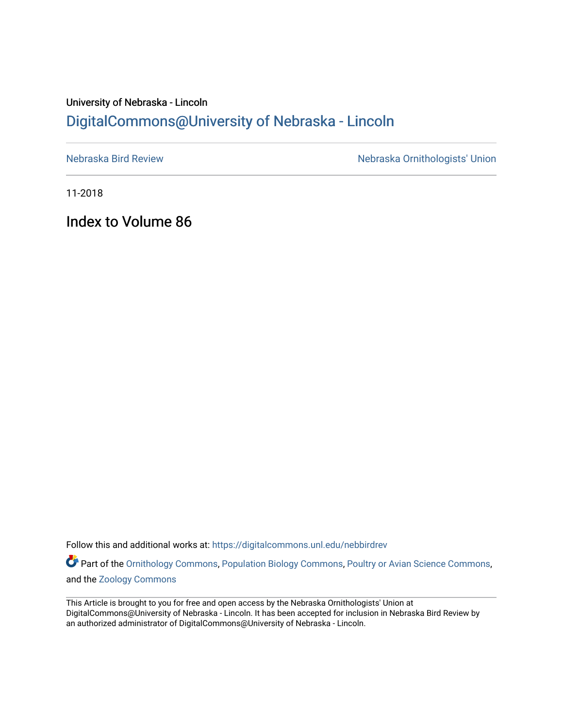# University of Nebraska - Lincoln [DigitalCommons@University of Nebraska - Lincoln](https://digitalcommons.unl.edu/)

[Nebraska Bird Review](https://digitalcommons.unl.edu/nebbirdrev) [Nebraska Ornithologists' Union](https://digitalcommons.unl.edu/nebornithologists) 

11-2018

Index to Volume 86

Follow this and additional works at: [https://digitalcommons.unl.edu/nebbirdrev](https://digitalcommons.unl.edu/nebbirdrev?utm_source=digitalcommons.unl.edu%2Fnebbirdrev%2F1451&utm_medium=PDF&utm_campaign=PDFCoverPages)

Part of the [Ornithology Commons,](http://network.bepress.com/hgg/discipline/1190?utm_source=digitalcommons.unl.edu%2Fnebbirdrev%2F1451&utm_medium=PDF&utm_campaign=PDFCoverPages) [Population Biology Commons](http://network.bepress.com/hgg/discipline/19?utm_source=digitalcommons.unl.edu%2Fnebbirdrev%2F1451&utm_medium=PDF&utm_campaign=PDFCoverPages), [Poultry or Avian Science Commons,](http://network.bepress.com/hgg/discipline/80?utm_source=digitalcommons.unl.edu%2Fnebbirdrev%2F1451&utm_medium=PDF&utm_campaign=PDFCoverPages) and the [Zoology Commons](http://network.bepress.com/hgg/discipline/81?utm_source=digitalcommons.unl.edu%2Fnebbirdrev%2F1451&utm_medium=PDF&utm_campaign=PDFCoverPages) 

This Article is brought to you for free and open access by the Nebraska Ornithologists' Union at DigitalCommons@University of Nebraska - Lincoln. It has been accepted for inclusion in Nebraska Bird Review by an authorized administrator of DigitalCommons@University of Nebraska - Lincoln.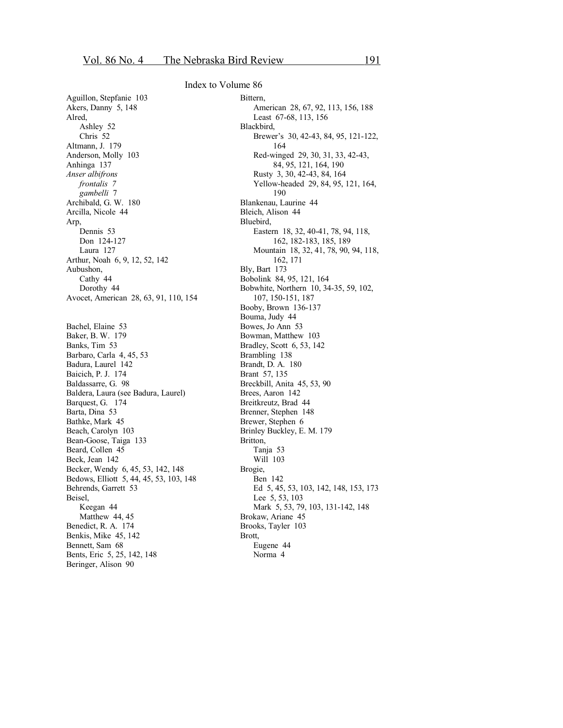Aguillon, Stepfanie 103 Akers, Danny 5, 148 Alred, Ashley 52 Chris 52 Altmann, J. 179 Anderson, Molly 103 Anhinga 137 *Anser albifrons frontalis 7 gambelli* 7 Archibald, G. W. 180 Arcilla, Nicole 44 Arp, Dennis 53 Don 124-127 Laura 127 Arthur, Noah 6, 9, 12, 52, 142 Aubushon, Cathy 44 Dorothy 44 Avocet, American 28, 63, 91, 110, 154 Bachel, Elaine 53 Baker, B. W. 179 Banks, Tim 53 Barbaro, Carla 4, 45, 53 Badura, Laurel 142 Baicich, P. J. 174 Baldassarre, G. 98 Baldera, Laura (see Badura, Laurel) Barquest, G. 174 Barta, Dina 53 Bathke, Mark 45 Beach, Carolyn 103 Bean-Goose, Taiga 133 Beard, Collen 45 Beck, Jean 142 Becker, Wendy 6, 45, 53, 142, 148 Bedows, Elliott 5, 44, 45, 53, 103, 148 Behrends, Garrett 53 Beisel, Keegan 44 Matthew 44, 45 Benedict, R. A. 174 Benkis, Mike 45, 142 Bennett, Sam 68 Bents, Eric 5, 25, 142, 148 Beringer, Alison 90

#### **Bittern** American 28, 67, 92, 113, 156, 188 Least 67-68, 113, 156 Blackbird, Brewer's 30, 42-43, 84, 95, 121-122, 164 Red-winged 29, 30, 31, 33, 42-43, 84, 95, 121, 164, 190 Rusty 3, 30, 42-43, 84, 164 Yellow-headed 29, 84, 95, 121, 164, 190 Blankenau, Laurine 44 Bleich, Alison 44 Bluebird, Eastern 18, 32, 40-41, 78, 94, 118, 162, 182-183, 185, 189 Mountain 18, 32, 41, 78, 90, 94, 118, 162, 171 Bly, Bart 173 Bobolink 84, 95, 121, 164 Bobwhite, Northern 10, 34-35, 59, 102, 107, 150-151, 187 Booby, Brown 136-137 Bouma, Judy 44 Bowes, Jo Ann 53 Bowman, Matthew 103 Bradley, Scott 6, 53, 142 Brambling 138 Brandt, D. A. 180 Brant 57, 135 Breckbill, Anita 45, 53, 90 Brees, Aaron 142 Breitkreutz, Brad 44 Brenner, Stephen 148 Brewer, Stephen 6 Brinley Buckley, E. M. 179 Britton, Tanja 53 Will 103 Brogie, Ben 142 Ed 5, 45, 53, 103, 142, 148, 153, 173 Lee 5, 53, 103 Mark 5, 53, 79, 103, 131-142, 148 Brokaw, Ariane 45 Brooks, Tayler 103 Brott, Eugene 44 Norma 4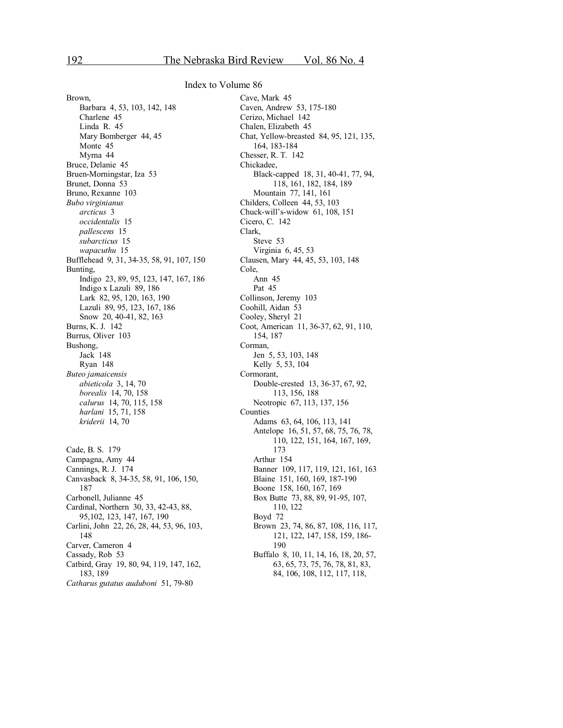Brown, Barbara 4, 53, 103, 142, 148 Charlene 45 Linda R. 45 Mary Bomberger 44, 45 Monte 45 Myrna 44 Bruce, Delanie 45 Bruen-Morningstar, Iza 53 Brunet, Donna 53 Bruno, Rexanne 103 *Bubo virginianus arcticus* 3 *occidentalis* 15 *pallescens* 15 *subarcticus* 15 *wapacuthu* 15 Bufflehead 9, 31, 34-35, 58, 91, 107, 150 Bunting, Indigo 23, 89, 95, 123, 147, 167, 186 Indigo x Lazuli 89, 186 Lark 82, 95, 120, 163, 190 Lazuli 89, 95, 123, 167, 186 Snow 20, 40-41, 82, 163 Burns, K. J. 142 Burrus, Oliver 103 Bushong, Jack 148 Ryan 148 *Buteo jamaicensis abieticola* 3, 14, 70 *borealis* 14, 70, 158 *calurus* 14, 70, 115, 158 *harlani* 15, 71, 158 *kriderii* 14, 70 Cade, B. S. 179 Campagna, Amy 44 Cannings, R. J. 174 Canvasback 8, 34-35, 58, 91, 106, 150, 187 Carbonell, Julianne 45 Cardinal, Northern 30, 33, 42-43, 88, 95,102, 123, 147, 167, 190 Carlini, John 22, 26, 28, 44, 53, 96, 103, 148 Carver, Cameron 4 Cassady, Rob 53 Catbird, Gray 19, 80, 94, 119, 147, 162, 183, 189 *Catharus gutatus auduboni* 51, 79-80

Cave, Mark 45 Caven, Andrew 53, 175-180 Cerizo, Michael 142 Chalen, Elizabeth 45 Chat, Yellow-breasted 84, 95, 121, 135, 164, 183-184 Chesser, R. T. 142 Chickadee, Black-capped 18, 31, 40-41, 77, 94, 118, 161, 182, 184, 189 Mountain 77, 141, 161 Childers, Colleen 44, 53, 103 Chuck-will's-widow 61, 108, 151 Cicero, C. 142 Clark, Steve 53 Virginia 6, 45, 53 Clausen, Mary 44, 45, 53, 103, 148 Cole, Ann 45 Pat 45 Collinson, Jeremy 103 Coohill, Aidan 53 Cooley, Sheryl 21 Coot, American 11, 36-37, 62, 91, 110, 154, 187 Corman, Jen 5, 53, 103, 148 Kelly 5, 53, 104 Cormorant, Double-crested 13, 36-37, 67, 92, 113, 156, 188 Neotropic 67, 113, 137, 156 Counties Adams 63, 64, 106, 113, 141 Antelope 16, 51, 57, 68, 75, 76, 78, 110, 122, 151, 164, 167, 169, 173 Arthur 154 Banner 109, 117, 119, 121, 161, 163 Blaine 151, 160, 169, 187-190 Boone 158, 160, 167, 169 Box Butte 73, 88, 89, 91-95, 107, 110, 122 Boyd 72 Brown 23, 74, 86, 87, 108, 116, 117, 121, 122, 147, 158, 159, 186- 190 Buffalo 8, 10, 11, 14, 16, 18, 20, 57, 63, 65, 73, 75, 76, 78, 81, 83, 84, 106, 108, 112, 117, 118,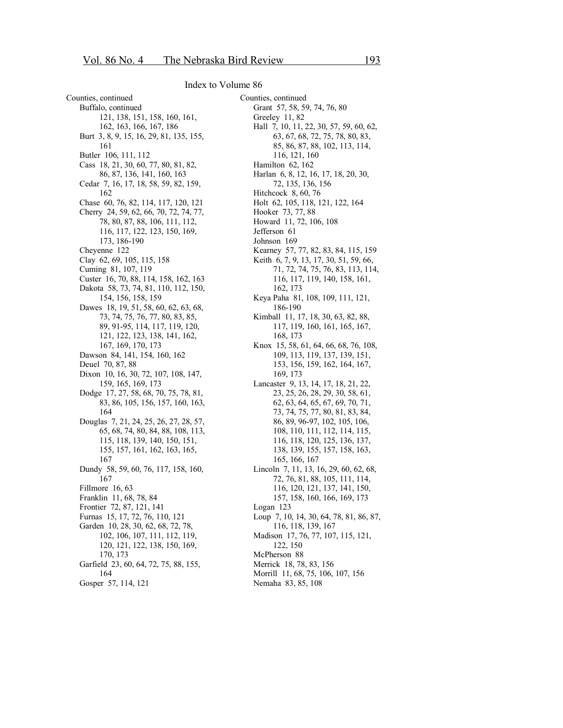Counties, continued Buffalo, continued 121, 138, 151, 158, 160, 161, 162, 163, 166, 167, 186 Burt 3, 8, 9, 15, 16, 29, 81, 135, 155, 161 Butler 106, 111, 112 Cass 18, 21, 30, 60, 77, 80, 81, 82, 86, 87, 136, 141, 160, 163 Cedar 7, 16, 17, 18, 58, 59, 82, 159, 162 Chase 60, 76, 82, 114, 117, 120, 121 Cherry 24, 59, 62, 66, 70, 72, 74, 77, 78, 80, 87, 88, 106, 111, 112, 116, 117, 122, 123, 150, 169, 173, 186-190 Cheyenne 122 Clay 62, 69, 105, 115, 158 Cuming 81, 107, 119 Custer 16, 70, 88, 114, 158, 162, 163 Dakota 58, 73, 74, 81, 110, 112, 150, 154, 156, 158, 159 Dawes 18, 19, 51, 58, 60, 62, 63, 68, 73, 74, 75, 76, 77, 80, 83, 85, 89, 91-95, 114, 117, 119, 120, 121, 122, 123, 138, 141, 162, 167, 169, 170, 173 Dawson 84, 141, 154, 160, 162 Deuel 70, 87, 88 Dixon 10, 16, 30, 72, 107, 108, 147, 159, 165, 169, 173 Dodge 17, 27, 58, 68, 70, 75, 78, 81, 83, 86, 105, 156, 157, 160, 163, 164 Douglas 7, 21, 24, 25, 26, 27, 28, 57, 65, 68, 74, 80, 84, 88, 108, 113, 115, 118, 139, 140, 150, 151, 155, 157, 161, 162, 163, 165, 167 Dundy 58, 59, 60, 76, 117, 158, 160, 167 Fillmore 16, 63 Franklin 11, 68, 78, 84 Frontier 72, 87, 121, 141 Furnas 15, 17, 72, 76, 110, 121 Garden 10, 28, 30, 62, 68, 72, 78, 102, 106, 107, 111, 112, 119, 120, 121, 122, 138, 150, 169, 170, 173 Garfield 23, 60, 64, 72, 75, 88, 155, 164 Gosper 57, 114, 121

Counties, continued Grant 57, 58, 59, 74, 76, 80 Greeley 11, 82 Hall 7, 10, 11, 22, 30, 57, 59, 60, 62, 63, 67, 68, 72, 75, 78, 80, 83, 85, 86, 87, 88, 102, 113, 114, 116, 121, 160 Hamilton 62, 162 Harlan 6, 8, 12, 16, 17, 18, 20, 30, 72, 135, 136, 156 Hitchcock 8, 60, 76 Holt 62, 105, 118, 121, 122, 164 Hooker 73, 77, 88 Howard 11, 72, 106, 108 Jefferson 61 Johnson 169 Kearney 57, 77, 82, 83, 84, 115, 159 Keith 6, 7, 9, 13, 17, 30, 51, 59, 66, 71, 72, 74, 75, 76, 83, 113, 114, 116, 117, 119, 140, 158, 161, 162, 173 Keya Paha 81, 108, 109, 111, 121, 186-190 Kimball 11, 17, 18, 30, 63, 82, 88, 117, 119, 160, 161, 165, 167, 168, 173 Knox 15, 58, 61, 64, 66, 68, 76, 108, 109, 113, 119, 137, 139, 151, 153, 156, 159, 162, 164, 167, 169, 173 Lancaster 9, 13, 14, 17, 18, 21, 22, 23, 25, 26, 28, 29, 30, 58, 61, 62, 63, 64, 65, 67, 69, 70, 71, 73, 74, 75, 77, 80, 81, 83, 84, 86, 89, 96-97, 102, 105, 106, 108, 110, 111, 112, 114, 115, 116, 118, 120, 125, 136, 137, 138, 139, 155, 157, 158, 163, 165, 166, 167 Lincoln 7, 11, 13, 16, 29, 60, 62, 68, 72, 76, 81, 88, 105, 111, 114, 116, 120, 121, 137, 141, 150, 157, 158, 160, 166, 169, 173 Logan 123 Loup 7, 10, 14, 30, 64, 78, 81, 86, 87, 116, 118, 139, 167 Madison 17, 76, 77, 107, 115, 121, 122, 150 McPherson 88 Merrick 18, 78, 83, 156 Morrill 11, 68, 75, 106, 107, 156 Nemaha 83, 85, 108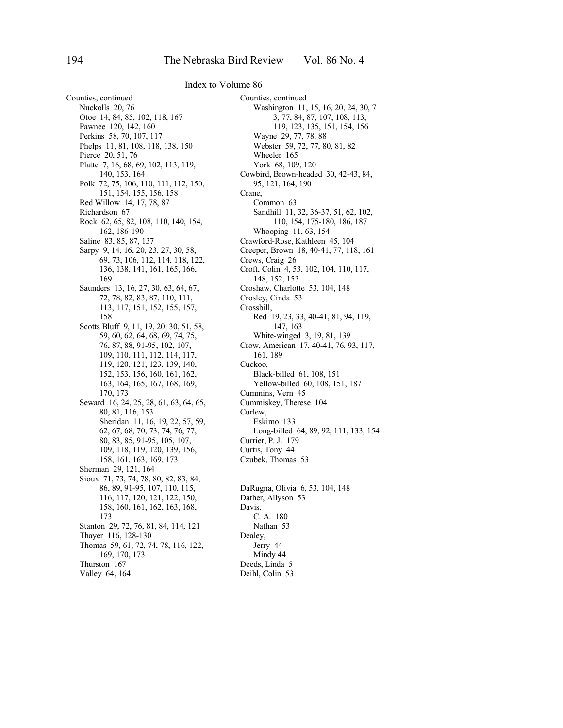Counties, continued Nuckolls 20, 76 Otoe 14, 84, 85, 102, 118, 167 Pawnee 120, 142, 160 Perkins 58, 70, 107, 117 Phelps 11, 81, 108, 118, 138, 150 Pierce 20, 51, 76 Platte 7, 16, 68, 69, 102, 113, 119, 140, 153, 164 Polk 72, 75, 106, 110, 111, 112, 150, 151, 154, 155, 156, 158 Red Willow 14, 17, 78, 87 Richardson 67 Rock 62, 65, 82, 108, 110, 140, 154, 162, 186-190 Saline 83, 85, 87, 137 Sarpy 9, 14, 16, 20, 23, 27, 30, 58, 69, 73, 106, 112, 114, 118, 122, 136, 138, 141, 161, 165, 166, 169 Saunders 13, 16, 27, 30, 63, 64, 67, 72, 78, 82, 83, 87, 110, 111, 113, 117, 151, 152, 155, 157, 158 Scotts Bluff 9, 11, 19, 20, 30, 51, 58, 59, 60, 62, 64, 68, 69, 74, 75, 76, 87, 88, 91-95, 102, 107, 109, 110, 111, 112, 114, 117, 119, 120, 121, 123, 139, 140, 152, 153, 156, 160, 161, 162, 163, 164, 165, 167, 168, 169, 170, 173 Seward 16, 24, 25, 28, 61, 63, 64, 65, 80, 81, 116, 153 Sheridan 11, 16, 19, 22, 57, 59, 62, 67, 68, 70, 73, 74, 76, 77, 80, 83, 85, 91-95, 105, 107, 109, 118, 119, 120, 139, 156, 158, 161, 163, 169, 173 Sherman 29, 121, 164 Sioux 71, 73, 74, 78, 80, 82, 83, 84, 86, 89, 91-95, 107, 110, 115, 116, 117, 120, 121, 122, 150, 158, 160, 161, 162, 163, 168, 173 Stanton 29, 72, 76, 81, 84, 114, 121 Thayer 116, 128-130 Thomas 59, 61, 72, 74, 78, 116, 122, 169, 170, 173 Thurston 167 Valley 64, 164

Counties, continued Washington 11, 15, 16, 20, 24, 30, 7 3, 77, 84, 87, 107, 108, 113, 119, 123, 135, 151, 154, 156 Wayne 29, 77, 78, 88 Webster 59, 72, 77, 80, 81, 82 Wheeler 165 York 68, 109, 120 Cowbird, Brown-headed 30, 42-43, 84, 95, 121, 164, 190 Crane, Common 63 Sandhill 11, 32, 36-37, 51, 62, 102, 110, 154, 175-180, 186, 187 Whooping 11, 63, 154 Crawford-Rose, Kathleen 45, 104 Creeper, Brown 18, 40-41, 77, 118, 161 Crews, Craig 26 Croft, Colin 4, 53, 102, 104, 110, 117, 148, 152, 153 Croshaw, Charlotte 53, 104, 148 Crosley, Cinda 53 Crossbill, Red 19, 23, 33, 40-41, 81, 94, 119, 147, 163 White-winged 3, 19, 81, 139 Crow, American 17, 40-41, 76, 93, 117, 161, 189 Cuckoo, Black-billed 61, 108, 151 Yellow-billed 60, 108, 151, 187 Cummins, Vern 45 Cummiskey, Therese 104 Curlew, Eskimo 133 Long-billed 64, 89, 92, 111, 133, 154 Currier, P. J. 179 Curtis, Tony 44 Czubek, Thomas 53 DaRugna, Olivia 6, 53, 104, 148 Dather, Allyson 53 Davis, C. A. 180 Nathan 53 Dealey, Jerry 44 Mindy 44 Deeds, Linda 5

Deihl, Colin 53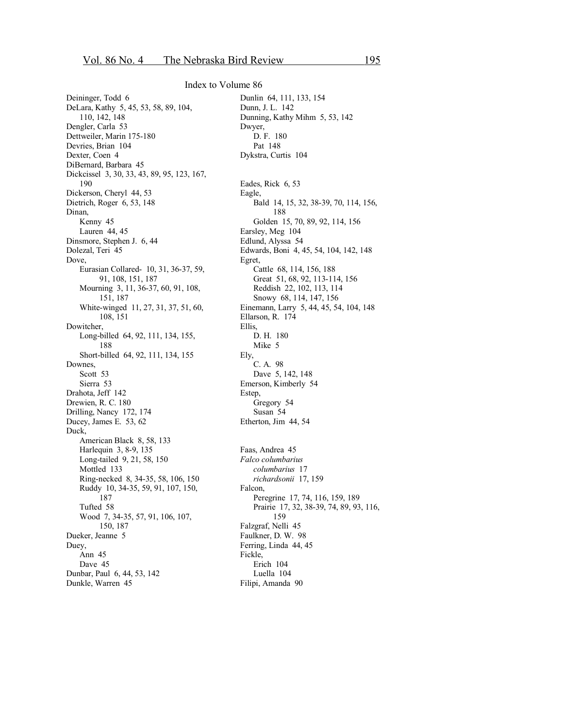Deininger, Todd 6 DeLara, Kathy 5, 45, 53, 58, 89, 104, 110, 142, 148 Dengler, Carla 53 Dettweiler, Marin 175-180 Devries, Brian 104 Dexter, Coen 4 DiBernard, Barbara 45 Dickcissel 3, 30, 33, 43, 89, 95, 123, 167, 190 Dickerson, Cheryl 44, 53 Dietrich, Roger 6, 53, 148 Dinan, Kenny 45 Lauren 44, 45 Dinsmore, Stephen J. 6, 44 Dolezal, Teri 45 Dove, Eurasian Collared- 10, 31, 36-37, 59, 91, 108, 151, 187 Mourning 3, 11, 36-37, 60, 91, 108, 151, 187 White-winged 11, 27, 31, 37, 51, 60, 108, 151 Dowitcher, Long-billed 64, 92, 111, 134, 155, 188 Short-billed 64, 92, 111, 134, 155 Downes, Scott 53 Sierra 53 Drahota, Jeff 142 Drewien, R. C. 180 Drilling, Nancy 172, 174 Ducey, James E. 53, 62 Duck, American Black 8, 58, 133 Harlequin 3, 8-9, 135 Long-tailed 9, 21, 58, 150 Mottled 133 Ring-necked 8, 34-35, 58, 106, 150 Ruddy 10, 34-35, 59, 91, 107, 150, 187 Tufted 58 Wood 7, 34-35, 57, 91, 106, 107, 150, 187 Dueker, Jeanne 5 Duey, Ann 45 Dave 45 Dunbar, Paul 6, 44, 53, 142 Dunkle, Warren 45

Dunlin 64, 111, 133, 154 Dunn, J. L. 142 Dunning, Kathy Mihm 5, 53, 142 Dwyer, D. F. 180 Pat 148 Dykstra, Curtis 104 Eades, Rick 6, 53 Eagle, Bald 14, 15, 32, 38-39, 70, 114, 156, 188 Golden 15, 70, 89, 92, 114, 156 Earsley, Meg 104 Edlund, Alyssa 54 Edwards, Boni 4, 45, 54, 104, 142, 148 Egret, Cattle 68, 114, 156, 188 Great 51, 68, 92, 113-114, 156 Reddish 22, 102, 113, 114 Snowy 68, 114, 147, 156 Einemann, Larry 5, 44, 45, 54, 104, 148 Ellarson, R. 174 Ellis, D. H. 180 Mike 5 Ely, C. A. 98 Dave 5, 142, 148 Emerson, Kimberly 54 Estep, Gregory 54 Susan 54 Etherton, Jim 44, 54 Faas, Andrea 45 *Falco columbarius columbarius* 17 *richardsonii* 17, 159 Falcon, Peregrine 17, 74, 116, 159, 189 Prairie 17, 32, 38-39, 74, 89, 93, 116, 159 Falzgraf, Nelli 45 Faulkner, D. W. 98 Ferring, Linda 44, 45 Fickle, Erich 104 Luella 104 Filipi, Amanda 90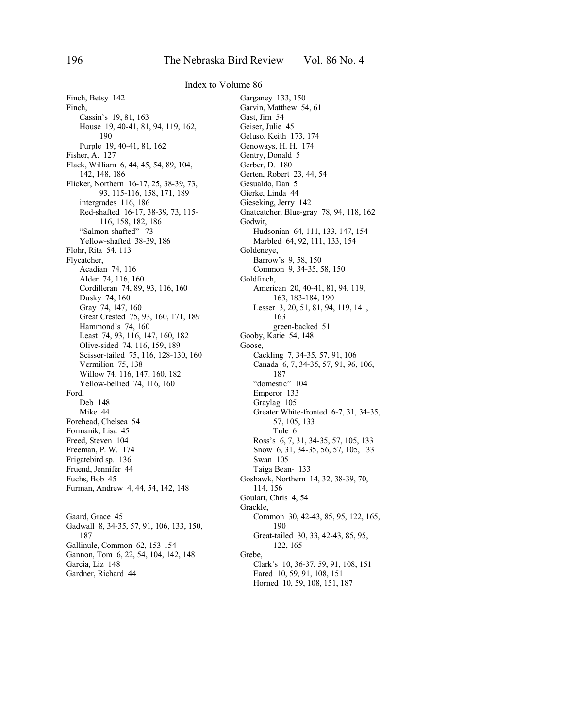Finch, Betsy 142 Finch, Cassin's 19, 81, 163 House 19, 40-41, 81, 94, 119, 162, 190 Purple 19, 40-41, 81, 162 Fisher, A. 127 Flack, William 6, 44, 45, 54, 89, 104, 142, 148, 186 Flicker, Northern 16-17, 25, 38-39, 73, 93, 115-116, 158, 171, 189 intergrades 116, 186 Red-shafted 16-17, 38-39, 73, 115- 116, 158, 182, 186 "Salmon-shafted" 73 Yellow-shafted 38-39, 186 Flohr, Rita 54, 113 Flycatcher, Acadian 74, 116 Alder 74, 116, 160 Cordilleran 74, 89, 93, 116, 160 Dusky 74, 160 Gray 74, 147, 160 Great Crested 75, 93, 160, 171, 189 Hammond's 74, 160 Least 74, 93, 116, 147, 160, 182 Olive-sided 74, 116, 159, 189 Scissor-tailed 75, 116, 128-130, 160 Vermilion 75, 138 Willow 74, 116, 147, 160, 182 Yellow-bellied 74, 116, 160 Ford, Deb 148 Mike 44 Forehead, Chelsea 54 Formanik, Lisa 45 Freed, Steven 104 Freeman, P. W. 174 Frigatebird sp. 136 Fruend, Jennifer 44 Fuchs, Bob 45 Furman, Andrew 4, 44, 54, 142, 148

Gaard, Grace 45 Gadwall 8, 34-35, 57, 91, 106, 133, 150, 187 Gallinule, Common 62, 153-154 Gannon, Tom 6, 22, 54, 104, 142, 148 Garcia, Liz 148 Gardner, Richard 44

Garganey 133, 150 Garvin, Matthew 54, 61 Gast, Jim 54 Geiser, Julie 45 Geluso, Keith 173, 174 Genoways, H. H. 174 Gentry, Donald 5 Gerber, D. 180 Gerten, Robert 23, 44, 54 Gesualdo, Dan 5 Gierke, Linda 44 Gieseking, Jerry 142 Gnatcatcher, Blue-gray 78, 94, 118, 162 Godwit, Hudsonian 64, 111, 133, 147, 154 Marbled 64, 92, 111, 133, 154 Goldeneye, Barrow's 9, 58, 150 Common 9, 34-35, 58, 150 Goldfinch, American 20, 40-41, 81, 94, 119, 163, 183-184, 190 Lesser 3, 20, 51, 81, 94, 119, 141, 163 green-backed 51 Gooby, Katie 54, 148 Goose, Cackling 7, 34-35, 57, 91, 106 Canada 6, 7, 34-35, 57, 91, 96, 106, 187 "domestic" 104 Emperor 133 Graylag 105 Greater White-fronted 6-7, 31, 34-35, 57, 105, 133 Tule 6 Ross's 6, 7, 31, 34-35, 57, 105, 133 Snow 6, 31, 34-35, 56, 57, 105, 133 Swan 105 Taiga Bean- 133 Goshawk, Northern 14, 32, 38-39, 70, 114, 156 Goulart, Chris 4, 54 Grackle, Common 30, 42-43, 85, 95, 122, 165, 190 Great-tailed 30, 33, 42-43, 85, 95, 122, 165 Grebe, Clark's 10, 36-37, 59, 91, 108, 151 Eared 10, 59, 91, 108, 151 Horned 10, 59, 108, 151, 187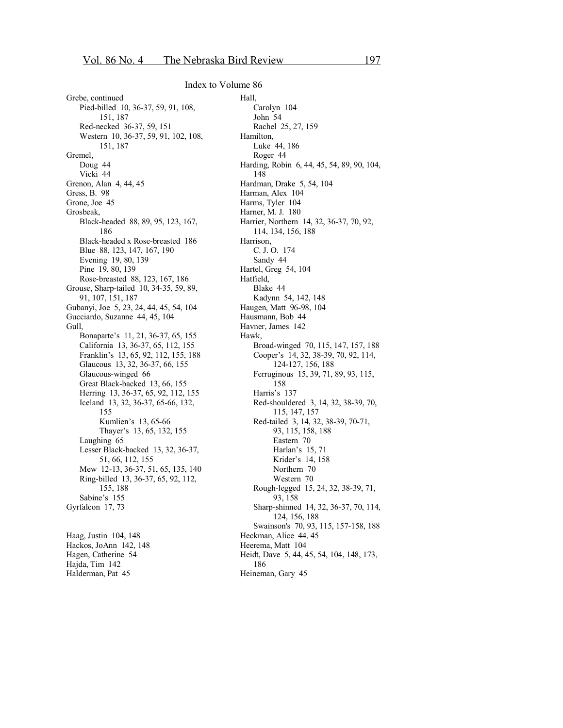Grebe, continued Pied-billed 10, 36-37, 59, 91, 108, 151, 187 Red-necked 36-37, 59, 151 Western 10, 36-37, 59, 91, 102, 108, 151, 187 Gremel, Doug 44 Vicki 44 Grenon, Alan 4, 44, 45 Gress, B. 98 Grone, Joe 45 Grosbeak, Black-headed 88, 89, 95, 123, 167, 186 Black-headed x Rose-breasted 186 Blue 88, 123, 147, 167, 190 Evening 19, 80, 139 Pine 19, 80, 139 Rose-breasted 88, 123, 167, 186 Grouse, Sharp-tailed 10, 34-35, 59, 89, 91, 107, 151, 187 Gubanyi, Joe 5, 23, 24, 44, 45, 54, 104 Gucciardo, Suzanne 44, 45, 104 Gull, Bonaparte's 11, 21, 36-37, 65, 155 California 13, 36-37, 65, 112, 155 Franklin's 13, 65, 92, 112, 155, 188 Glaucous 13, 32, 36-37, 66, 155 Glaucous-winged 66 Great Black-backed 13, 66, 155 Herring 13, 36-37, 65, 92, 112, 155 Iceland 13, 32, 36-37, 65-66, 132, 155 Kumlien's 13, 65-66 Thayer's 13, 65, 132, 155 Laughing 65 Lesser Black-backed 13, 32, 36-37, 51, 66, 112, 155 Mew 12-13, 36-37, 51, 65, 135, 140 Ring-billed 13, 36-37, 65, 92, 112, 155, 188 Sabine's 155 Gyrfalcon 17, 73 Haag, Justin 104, 148

Hackos, JoAnn 142, 148 Hagen, Catherine 54 Hajda, Tim 142 Halderman, Pat 45

Hall, Carolyn 104 John 54 Rachel 25, 27, 159 Hamilton, Luke 44, 186 Roger 44 Harding, Robin 6, 44, 45, 54, 89, 90, 104, 148 Hardman, Drake 5, 54, 104 Harman, Alex 104 Harms, Tyler 104 Harner, M. J. 180 Harrier, Northern 14, 32, 36-37, 70, 92, 114, 134, 156, 188 Harrison, C. J. O. 174 Sandy 44 Hartel, Greg 54, 104 Hatfield, Blake 44 Kadynn 54, 142, 148 Haugen, Matt 96-98, 104 Hausmann, Bob 44 Havner, James 142 Hawk, Broad-winged 70, 115, 147, 157, 188 Cooper's 14, 32, 38-39, 70, 92, 114, 124-127, 156, 188 Ferruginous 15, 39, 71, 89, 93, 115, 158 Harris's 137 Red-shouldered 3, 14, 32, 38-39, 70, 115, 147, 157 Red-tailed 3, 14, 32, 38-39, 70-71, 93, 115, 158, 188 Eastern 70 Harlan's 15, 71 Krider's 14, 158 Northern 70 Western 70 Rough-legged 15, 24, 32, 38-39, 71, 93, 158 Sharp-shinned 14, 32, 36-37, 70, 114, 124, 156, 188 Swainson's 70, 93, 115, 157-158, 188 Heckman, Alice 44, 45 Heerema, Matt 104 Heidt, Dave 5, 44, 45, 54, 104, 148, 173, 186 Heineman, Gary 45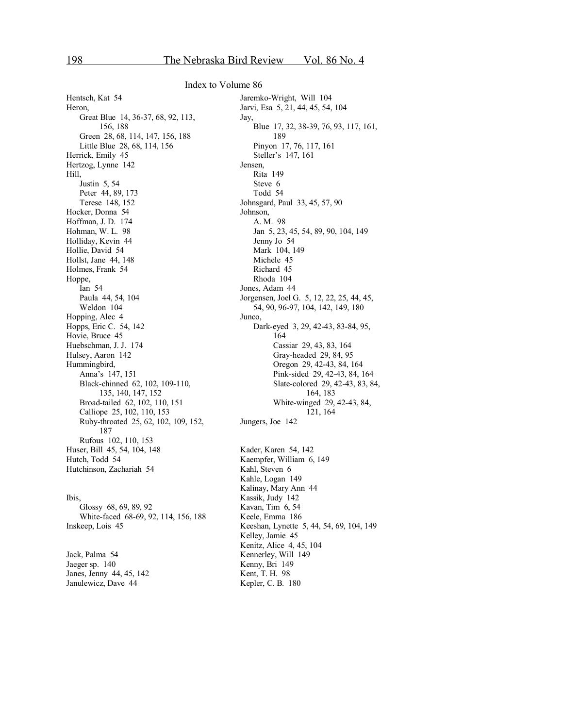Hentsch, Kat 54 Heron, Great Blue 14, 36-37, 68, 92, 113, 156, 188 Green 28, 68, 114, 147, 156, 188 Little Blue 28, 68, 114, 156 Herrick, Emily 45 Hertzog, Lynne 142 Hill, Justin 5, 54 Peter 44, 89, 173 Terese 148, 152 Hocker, Donna 54 Hoffman, J. D. 174 Hohman, W. L. 98 Holliday, Kevin 44 Hollie, David 54 Hollst, Jane 44, 148 Holmes, Frank 54 Hoppe, Ian 54 Paula 44, 54, 104 Weldon 104 Hopping, Alec 4 Hopps, Eric C. 54, 142 Hovie, Bruce 45 Huebschman, J. J. 174 Hulsey, Aaron 142 Hummingbird, Anna's 147, 151 Black-chinned 62, 102, 109-110, 135, 140, 147, 152 Broad-tailed 62, 102, 110, 151 Calliope 25, 102, 110, 153 Ruby-throated 25, 62, 102, 109, 152, 187 Rufous 102, 110, 153 Huser, Bill 45, 54, 104, 148 Hutch, Todd 54 Hutchinson, Zachariah 54

Ibis, Glossy 68, 69, 89, 92 White-faced 68-69, 92, 114, 156, 188 Inskeep, Lois 45

Jack, Palma 54 Jaeger sp. 140 Janes, Jenny 44, 45, 142 Janulewicz, Dave 44

Jaremko-Wright, Will 104 Jarvi, Esa 5, 21, 44, 45, 54, 104 Jay, Blue 17, 32, 38-39, 76, 93, 117, 161, 189 Pinyon 17, 76, 117, 161 Steller's 147, 161 Jensen, Rita 149 Steve 6 Todd 54 Johnsgard, Paul 33, 45, 57, 90 Johnson, A. M. 98 Jan 5, 23, 45, 54, 89, 90, 104, 149 Jenny Jo 54 Mark 104, 149 Michele 45 Richard 45 Rhoda 104 Jones, Adam 44 Jorgensen, Joel G. 5, 12, 22, 25, 44, 45, 54, 90, 96-97, 104, 142, 149, 180 Junco, Dark-eyed 3, 29, 42-43, 83-84, 95, 164 Cassiar 29, 43, 83, 164 Gray-headed 29, 84, 95 Oregon 29, 42-43, 84, 164 Pink-sided 29, 42-43, 84, 164 Slate-colored 29, 42-43, 83, 84, 164, 183 White-winged 29, 42-43, 84, 121, 164 Jungers, Joe 142

Kader, Karen 54, 142 Kaempfer, William 6, 149 Kahl, Steven 6 Kahle, Logan 149 Kalinay, Mary Ann 44 Kassik, Judy 142 Kavan, Tim 6, 54 Keele, Emma 186 Keeshan, Lynette 5, 44, 54, 69, 104, 149 Kelley, Jamie 45 Kenitz, Alice 4, 45, 104 Kennerley, Will 149 Kenny, Bri 149 Kent, T. H. 98 Kepler, C. B. 180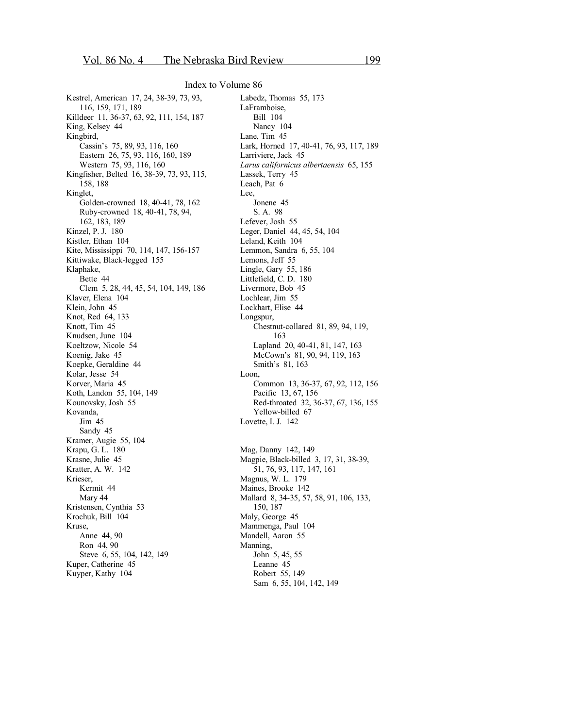Kestrel, American 17, 24, 38-39, 73, 93, 116, 159, 171, 189 Killdeer 11, 36-37, 63, 92, 111, 154, 187 King, Kelsey 44 Kingbird, Cassin's 75, 89, 93, 116, 160 Eastern 26, 75, 93, 116, 160, 189 Western 75, 93, 116, 160 Kingfisher, Belted 16, 38-39, 73, 93, 115, 158, 188 Kinglet, Golden-crowned 18, 40-41, 78, 162 Ruby-crowned 18, 40-41, 78, 94, 162, 183, 189 Kinzel, P. J. 180 Kistler, Ethan 104 Kite, Mississippi 70, 114, 147, 156-157 Kittiwake, Black-legged 155 Klaphake, Bette 44 Clem 5, 28, 44, 45, 54, 104, 149, 186 Klaver, Elena 104 Klein, John 45 Knot, Red 64, 133 Knott, Tim 45 Knudsen, June 104 Koeltzow, Nicole 54 Koenig, Jake 45 Koepke, Geraldine 44 Kolar, Jesse 54 Korver, Maria 45 Koth, Landon 55, 104, 149 Kounovsky, Josh 55 Kovanda, Jim 45 Sandy 45 Kramer, Augie 55, 104 Krapu, G. L. 180 Krasne, Julie 45 Kratter, A. W. 142 Krieser, Kermit 44 Mary 44 Kristensen, Cynthia 53 Krochuk, Bill 104 Kruse, Anne 44, 90 Ron 44, 90 Steve 6, 55, 104, 142, 149 Kuper, Catherine 45 Kuyper, Kathy 104

Labedz, Thomas 55, 173 LaFramboise, Bill 104 Nancy 104 Lane, Tim 45 Lark, Horned 17, 40-41, 76, 93, 117, 189 Larriviere, Jack 45 *Larus californicus albertaensis* 65, 155 Lassek, Terry 45 Leach, Pat 6 Lee, Jonene 45 S. A. 98 Lefever, Josh 55 Leger, Daniel 44, 45, 54, 104 Leland, Keith 104 Lemmon, Sandra 6, 55, 104 Lemons, Jeff 55 Lingle, Gary 55, 186 Littlefield, C. D. 180 Livermore, Bob 45 Lochlear, Jim 55 Lockhart, Elise 44 Longspur, Chestnut-collared 81, 89, 94, 119, 163 Lapland 20, 40-41, 81, 147, 163 McCown's 81, 90, 94, 119, 163 Smith's 81, 163 Loon, Common 13, 36-37, 67, 92, 112, 156 Pacific 13, 67, 156 Red-throated 32, 36-37, 67, 136, 155 Yellow-billed 67 Lovette, I. J. 142 Mag, Danny 142, 149 Magpie, Black-billed 3, 17, 31, 38-39, 51, 76, 93, 117, 147, 161 Magnus, W. L. 179 Maines, Brooke 142 Mallard 8, 34-35, 57, 58, 91, 106, 133, 150, 187 Maly, George 45 Mammenga, Paul 104 Mandell, Aaron 55

Manning,

John 5, 45, 55 Leanne 45 Robert 55, 149

Sam 6, 55, 104, 142, 149

199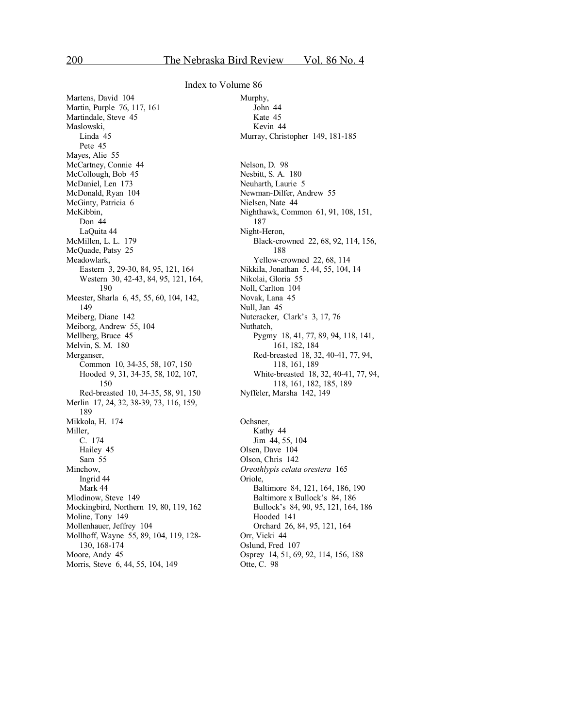Martens, David 104 Martin, Purple 76, 117, 161 Martindale, Steve 45 Maslowski, Linda 45 Pete 45 Mayes, Alie 55 McCartney, Connie 44 McCollough, Bob 45 McDaniel, Len 173 McDonald, Ryan 104 McGinty, Patricia 6 McKibbin, Don 44 LaQuita 44 McMillen, L. L. 179 McQuade, Patsy 25 Meadowlark, Eastern 3, 29-30, 84, 95, 121, 164 Western 30, 42-43, 84, 95, 121, 164, 190 Meester, Sharla 6, 45, 55, 60, 104, 142, 149 Meiberg, Diane 142 Meiborg, Andrew 55, 104 Mellberg, Bruce 45 Melvin, S. M. 180 Merganser, Common 10, 34-35, 58, 107, 150 Hooded 9, 31, 34-35, 58, 102, 107, 150 Red-breasted 10, 34-35, 58, 91, 150 Merlin 17, 24, 32, 38-39, 73, 116, 159, 189 Mikkola, H. 174 Miller, C. 174 Hailey 45 Sam 55 Minchow, Ingrid 44 Mark 44 Mlodinow, Steve 149 Mockingbird, Northern 19, 80, 119, 162 Moline, Tony 149 Mollenhauer, Jeffrey 104 Mollhoff, Wayne 55, 89, 104, 119, 128- 130, 168-174 Moore, Andy 45 Morris, Steve 6, 44, 55, 104, 149

Murphy, John 44 Kate 45 Kevin 44 Murray, Christopher 149, 181-185 Nelson, D. 98 Nesbitt, S. A. 180 Neuharth, Laurie 5 Newman-Dilfer, Andrew 55 Nielsen, Nate 44 Nighthawk, Common 61, 91, 108, 151, 187 Night-Heron, Black-crowned 22, 68, 92, 114, 156, 188 Yellow-crowned 22, 68, 114 Nikkila, Jonathan 5, 44, 55, 104, 14 Nikolai, Gloria 55 Noll, Carlton 104 Novak, Lana 45 Null, Jan 45 Nutcracker, Clark's 3, 17, 76 Nuthatch, Pygmy 18, 41, 77, 89, 94, 118, 141, 161, 182, 184 Red-breasted 18, 32, 40-41, 77, 94, 118, 161, 189 White-breasted 18, 32, 40-41, 77, 94, 118, 161, 182, 185, 189 Nyffeler, Marsha 142, 149 Ochsner, Kathy 44

Jim 44, 55, 104 Olsen, Dave 104 Olson, Chris 142 *Oreothlypis celata orestera* 165 Oriole, Baltimore 84, 121, 164, 186, 190 Baltimore x Bullock's 84, 186 Bullock's 84, 90, 95, 121, 164, 186 Hooded 141 Orchard 26, 84, 95, 121, 164 Orr, Vicki 44 Oslund, Fred 107 Osprey 14, 51, 69, 92, 114, 156, 188 Otte, C. 98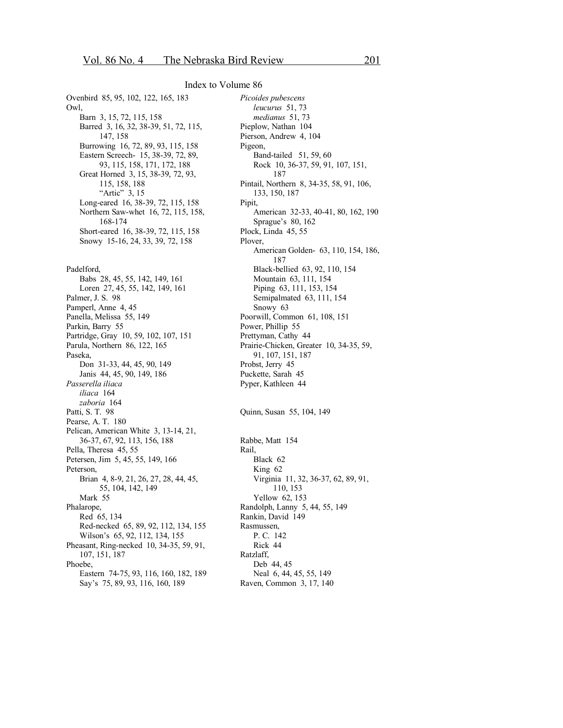Ovenbird 85, 95, 102, 122, 165, 183 Owl, Barn 3, 15, 72, 115, 158 Barred 3, 16, 32, 38-39, 51, 72, 115, 147, 158 Burrowing 16, 72, 89, 93, 115, 158 Eastern Screech- 15, 38-39, 72, 89, 93, 115, 158, 171, 172, 188 Great Horned 3, 15, 38-39, 72, 93, 115, 158, 188 "Artic" 3, 15 Long-eared 16, 38-39, 72, 115, 158 Northern Saw-whet 16, 72, 115, 158, 168-174 Short-eared 16, 38-39, 72, 115, 158 Snowy 15-16, 24, 33, 39, 72, 158

Padelford, Babs 28, 45, 55, 142, 149, 161 Loren 27, 45, 55, 142, 149, 161 Palmer, J. S. 98 Pamperl, Anne 4, 45 Panella, Melissa 55, 149 Parkin, Barry 55 Partridge, Gray 10, 59, 102, 107, 151 Parula, Northern 86, 122, 165 Paseka, Don 31-33, 44, 45, 90, 149 Janis 44, 45, 90, 149, 186 *Passerella iliaca iliaca* 164 *zaboria* 164 Patti, S. T. 98 Pearse, A. T. 180 Pelican, American White 3, 13-14, 21, 36-37, 67, 92, 113, 156, 188 Pella, Theresa 45, 55 Petersen, Jim 5, 45, 55, 149, 166 Peterson, Brian 4, 8-9, 21, 26, 27, 28, 44, 45, 55, 104, 142, 149 Mark 55 Phalarope, Red 65, 134 Red-necked 65, 89, 92, 112, 134, 155 Wilson's 65, 92, 112, 134, 155 Pheasant, Ring-necked 10, 34-35, 59, 91, 107, 151, 187 Phoebe, Eastern 74-75, 93, 116, 160, 182, 189 Say's 75, 89, 93, 116, 160, 189

*Picoides pubescens leucurus* 51, 73 *medianus* 51, 73 Pieplow, Nathan 104 Pierson, Andrew 4, 104 Pigeon, Band-tailed 51, 59, 60 Rock 10, 36-37, 59, 91, 107, 151, 187 Pintail, Northern 8, 34-35, 58, 91, 106, 133, 150, 187 Pipit, American 32-33, 40-41, 80, 162, 190 Sprague's 80, 162 Plock, Linda 45, 55 Plover, American Golden- 63, 110, 154, 186, 187 Black-bellied 63, 92, 110, 154 Mountain 63, 111, 154 Piping 63, 111, 153, 154 Semipalmated 63, 111, 154 Snowy 63 Poorwill, Common 61, 108, 151 Power, Phillip 55 Prettyman, Cathy 44 Prairie-Chicken, Greater 10, 34-35, 59, 91, 107, 151, 187 Probst, Jerry 45 Puckette, Sarah 45 Pyper, Kathleen 44

Quinn, Susan 55, 104, 149

Rabbe, Matt 154 Rail, Black 62 King 62 Virginia 11, 32, 36-37, 62, 89, 91, 110, 153 Yellow 62, 153 Randolph, Lanny 5, 44, 55, 149 Rankin, David 149 Rasmussen, P. C. 142 Rick 44 Ratzlaff, Deb 44, 45 Neal 6, 44, 45, 55, 149 Raven, Common 3, 17, 140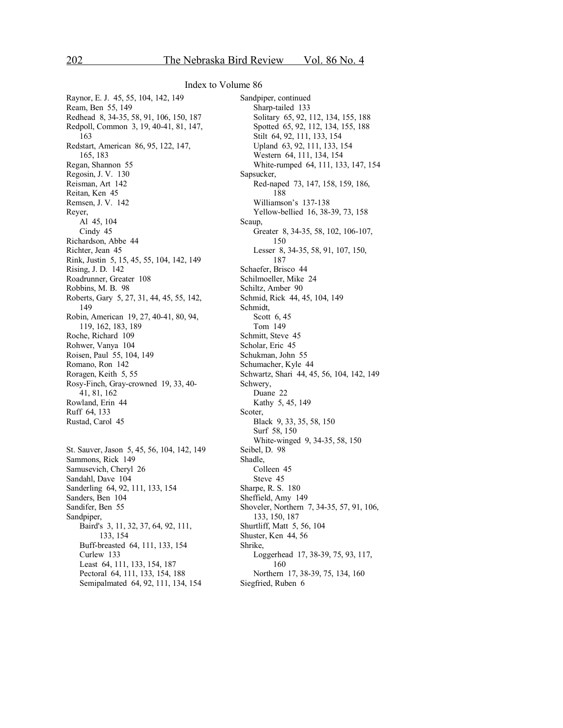Raynor, E. J. 45, 55, 104, 142, 149 Ream, Ben 55, 149 Redhead 8, 34-35, 58, 91, 106, 150, 187 Redpoll, Common 3, 19, 40-41, 81, 147, 163 Redstart, American 86, 95, 122, 147, 165, 183 Regan, Shannon 55 Regosin, J. V. 130 Reisman, Art 142 Reitan, Ken 45 Remsen, J. V. 142 Reyer, Al 45, 104 Cindy 45 Richardson, Abbe 44 Richter, Jean 45 Rink, Justin 5, 15, 45, 55, 104, 142, 149 Rising, J. D. 142 Roadrunner, Greater 108 Robbins, M. B. 98 Roberts, Gary 5, 27, 31, 44, 45, 55, 142, 149 Robin, American 19, 27, 40-41, 80, 94, 119, 162, 183, 189 Roche, Richard 109 Rohwer, Vanya 104 Roisen, Paul 55, 104, 149 Romano, Ron 142 Roragen, Keith 5, 55 Rosy-Finch, Gray-crowned 19, 33, 40- 41, 81, 162 Rowland, Erin 44 Ruff 64, 133 Rustad, Carol 45 St. Sauver, Jason 5, 45, 56, 104, 142, 149 Sammons, Rick 149 Samusevich, Cheryl 26 Sandahl, Dave 104 Sanderling 64, 92, 111, 133, 154

Sanders, Ben 104 Sandifer, Ben 55 Sandpiper, Baird's 3, 11, 32, 37, 64, 92, 111, 133, 154 Buff-breasted 64, 111, 133, 154 Curlew 133 Least 64, 111, 133, 154, 187 Pectoral 64, 111, 133, 154, 188 Semipalmated 64, 92, 111, 134, 154

Sandpiper, continued Sharp-tailed 133 Solitary 65, 92, 112, 134, 155, 188 Spotted 65, 92, 112, 134, 155, 188 Stilt 64, 92, 111, 133, 154 Upland 63, 92, 111, 133, 154 Western 64, 111, 134, 154 White-rumped 64, 111, 133, 147, 154 Sapsucker, Red-naped 73, 147, 158, 159, 186, 188 Williamson's 137-138 Yellow-bellied 16, 38-39, 73, 158 Scaup, Greater 8, 34-35, 58, 102, 106-107, 150 Lesser 8, 34-35, 58, 91, 107, 150, 187 Schaefer, Brisco 44 Schilmoeller, Mike 24 Schiltz, Amber 90 Schmid, Rick 44, 45, 104, 149 Schmidt, Scott 6, 45 Tom 149 Schmitt, Steve 45 Scholar, Eric 45 Schukman, John 55 Schumacher, Kyle 44 Schwartz, Shari 44, 45, 56, 104, 142, 149 Schwery, Duane 22 Kathy 5, 45, 149 Scoter, Black 9, 33, 35, 58, 150 Surf 58, 150 White-winged 9, 34-35, 58, 150 Seibel, D. 98 Shadle, Colleen 45 Steve 45 Sharpe, R. S. 180 Sheffield, Amy 149 Shoveler, Northern 7, 34-35, 57, 91, 106, 133, 150, 187 Shurtliff, Matt 5, 56, 104 Shuster, Ken 44, 56 Shrike, Loggerhead 17, 38-39, 75, 93, 117, 160 Northern 17, 38-39, 75, 134, 160 Siegfried, Ruben 6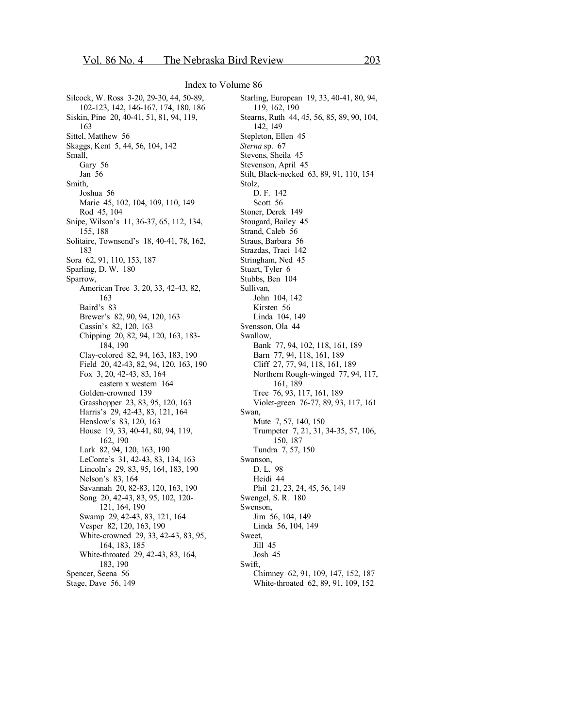Silcock, W. Ross 3-20, 29-30, 44, 50-89, 102-123, 142, 146-167, 174, 180, 186 Siskin, Pine 20, 40-41, 51, 81, 94, 119, 163 Sittel, Matthew 56 Skaggs, Kent 5, 44, 56, 104, 142 Small, Gary 56 Jan 56 Smith, Joshua 56 Marie 45, 102, 104, 109, 110, 149 Rod 45, 104 Snipe, Wilson's 11, 36-37, 65, 112, 134, 155, 188 Solitaire, Townsend's 18, 40-41, 78, 162, 183 Sora 62, 91, 110, 153, 187 Sparling, D. W. 180 Sparrow, American Tree 3, 20, 33, 42-43, 82, 163 Baird's 83 Brewer's 82, 90, 94, 120, 163 Cassin's 82, 120, 163 Chipping 20, 82, 94, 120, 163, 183- 184, 190 Clay-colored 82, 94, 163, 183, 190 Field 20, 42-43, 82, 94, 120, 163, 190 Fox 3, 20, 42-43, 83, 164 eastern x western 164 Golden-crowned 139 Grasshopper 23, 83, 95, 120, 163 Harris's 29, 42-43, 83, 121, 164 Henslow's 83, 120, 163 House 19, 33, 40-41, 80, 94, 119, 162, 190 Lark 82, 94, 120, 163, 190 LeConte's 31, 42-43, 83, 134, 163 Lincoln's 29, 83, 95, 164, 183, 190 Nelson's 83, 164 Savannah 20, 82-83, 120, 163, 190 Song 20, 42-43, 83, 95, 102, 120- 121, 164, 190 Swamp 29, 42-43, 83, 121, 164 Vesper 82, 120, 163, 190 White-crowned 29, 33, 42-43, 83, 95, 164, 183, 185 White-throated 29, 42-43, 83, 164, 183, 190 Spencer, Seena 56 Stage, Dave 56, 149

Starling, European 19, 33, 40-41, 80, 94, 119, 162, 190 Stearns, Ruth 44, 45, 56, 85, 89, 90, 104, 142, 149 Stepleton, Ellen 45 *Sterna* sp. 67 Stevens, Sheila 45 Stevenson, April 45 Stilt, Black-necked 63, 89, 91, 110, 154 Stolz, D. F. 142 Scott 56 Stoner, Derek 149 Stougard, Bailey 45 Strand, Caleb 56 Straus, Barbara 56 Strazdas, Traci 142 Stringham, Ned 45 Stuart, Tyler 6 Stubbs, Ben 104 Sullivan, John 104, 142 Kirsten 56 Linda 104, 149 Svensson, Ola 44 Swallow, Bank 77, 94, 102, 118, 161, 189 Barn 77, 94, 118, 161, 189 Cliff 27, 77, 94, 118, 161, 189 Northern Rough-winged 77, 94, 117, 161, 189 Tree 76, 93, 117, 161, 189 Violet-green 76-77, 89, 93, 117, 161 Swan, Mute 7, 57, 140, 150 Trumpeter 7, 21, 31, 34-35, 57, 106, 150, 187 Tundra 7, 57, 150 Swanson, D. L. 98 Heidi 44 Phil 21, 23, 24, 45, 56, 149 Swengel, S. R. 180 Swenson, Jim 56, 104, 149 Linda 56, 104, 149 Sweet, Jill 45 Josh 45 Swift, Chimney 62, 91, 109, 147, 152, 187 White-throated 62, 89, 91, 109, 152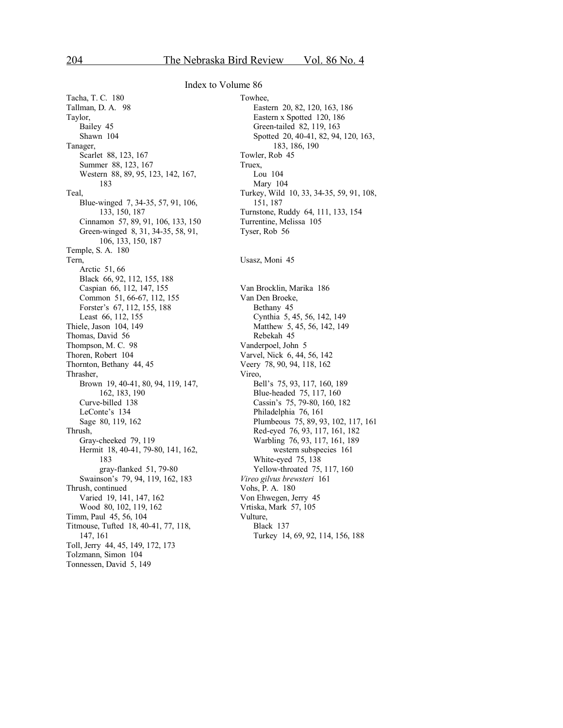Tacha, T. C. 180 Tallman, D. A. 98 Taylor, Bailey 45 Shawn 104 Tanager, Scarlet 88, 123, 167 Summer 88, 123, 167 Western 88, 89, 95, 123, 142, 167, 183 Teal, Blue-winged 7, 34-35, 57, 91, 106, 133, 150, 187 Cinnamon 57, 89, 91, 106, 133, 150 Green-winged 8, 31, 34-35, 58, 91, 106, 133, 150, 187 Temple, S. A. 180 Tern, Arctic 51, 66 Black 66, 92, 112, 155, 188 Caspian 66, 112, 147, 155 Common 51, 66-67, 112, 155 Forster's 67, 112, 155, 188 Least 66, 112, 155 Thiele, Jason 104, 149 Thomas, David 56 Thompson, M. C. 98 Thoren, Robert 104 Thornton, Bethany 44, 45 Thrasher, Brown 19, 40-41, 80, 94, 119, 147, 162, 183, 190 Curve-billed 138 LeConte's 134 Sage 80, 119, 162 Thrush, Gray-cheeked 79, 119 Hermit 18, 40-41, 79-80, 141, 162, 183 gray-flanked 51, 79-80 Swainson's 79, 94, 119, 162, 183 Thrush, continued Varied 19, 141, 147, 162 Wood 80, 102, 119, 162 Timm, Paul 45, 56, 104 Titmouse, Tufted 18, 40-41, 77, 118, 147, 161 Toll, Jerry 44, 45, 149, 172, 173 Tolzmann, Simon 104 Tonnessen, David 5, 149

Towhee, Eastern 20, 82, 120, 163, 186 Eastern x Spotted 120, 186 Green-tailed 82, 119, 163 Spotted 20, 40-41, 82, 94, 120, 163, 183, 186, 190 Towler, Rob 45 Truex, Lou 104 Mary 104 Turkey, Wild 10, 33, 34-35, 59, 91, 108, 151, 187 Turnstone, Ruddy 64, 111, 133, 154 Turrentine, Melissa 105 Tyser, Rob 56 Usasz, Moni 45 Van Brocklin, Marika 186 Van Den Broeke, Bethany 45 Cynthia 5, 45, 56, 142, 149 Matthew 5, 45, 56, 142, 149 Rebekah 45 Vanderpoel, John 5 Varvel, Nick 6, 44, 56, 142 Veery 78, 90, 94, 118, 162 Vireo, Bell's 75, 93, 117, 160, 189 Blue-headed 75, 117, 160 Cassin's 75, 79-80, 160, 182 Philadelphia 76, 161 Plumbeous 75, 89, 93, 102, 117, 161 Red-eyed 76, 93, 117, 161, 182 Warbling 76, 93, 117, 161, 189 western subspecies 161 White-eyed 75, 138 Yellow-throated 75, 117, 160 *Vireo gilvus brewsteri* 161 Vohs, P. A. 180 Von Ehwegen, Jerry 45 Vrtiska, Mark 57, 105 Vulture, Black 137 Turkey 14, 69, 92, 114, 156, 188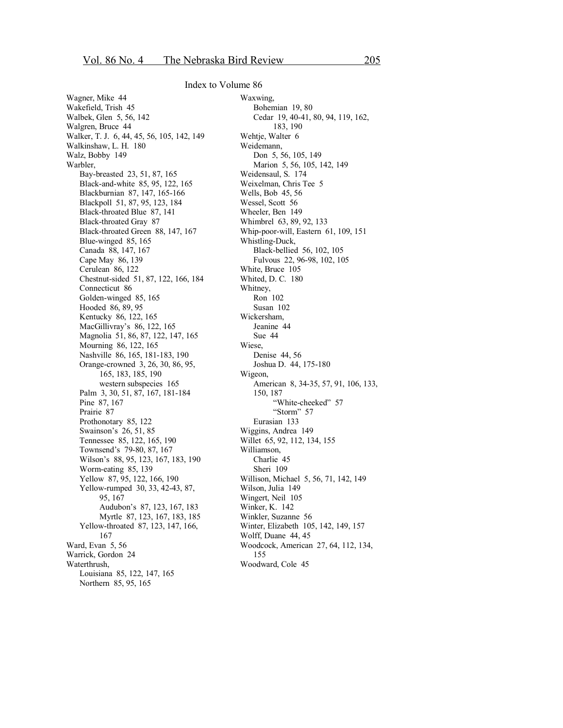Wagner, Mike 44 Wakefield, Trish 45 Walbek, Glen 5, 56, 142 Walgren, Bruce 44 Walker, T. J. 6, 44, 45, 56, 105, 142, 149 Walkinshaw, L. H. 180 Walz, Bobby 149 Warbler, Bay-breasted 23, 51, 87, 165 Black-and-white 85, 95, 122, 165 Blackburnian 87, 147, 165-166 Blackpoll 51, 87, 95, 123, 184 Black-throated Blue 87, 141 Black-throated Gray 87 Black-throated Green 88, 147, 167 Blue-winged 85, 165 Canada 88, 147, 167 Cape May 86, 139 Cerulean 86, 122 Chestnut-sided 51, 87, 122, 166, 184 Connecticut 86 Golden-winged 85, 165 Hooded 86, 89, 95 Kentucky 86, 122, 165 MacGillivray's 86, 122, 165 Magnolia 51, 86, 87, 122, 147, 165 Mourning 86, 122, 165 Nashville 86, 165, 181-183, 190 Orange-crowned 3, 26, 30, 86, 95, 165, 183, 185, 190 western subspecies 165 Palm 3, 30, 51, 87, 167, 181-184 Pine 87, 167 Prairie 87 Prothonotary 85, 122 Swainson's 26, 51, 85 Tennessee 85, 122, 165, 190 Townsend's 79-80, 87, 167 Wilson's 88, 95, 123, 167, 183, 190 Worm-eating 85, 139 Yellow 87, 95, 122, 166, 190 Yellow-rumped 30, 33, 42-43, 87, 95, 167 Audubon's 87, 123, 167, 183 Myrtle 87, 123, 167, 183, 185 Yellow-throated 87, 123, 147, 166, 167 Ward, Evan 5, 56 Warrick, Gordon 24 Waterthrush, Louisiana 85, 122, 147, 165 Northern 85, 95, 165

Waxwing, Bohemian 19, 80 Cedar 19, 40-41, 80, 94, 119, 162, 183, 190 Wehtje, Walter 6 Weidemann, Don 5, 56, 105, 149 Marion 5, 56, 105, 142, 149 Weidensaul, S. 174 Weixelman, Chris Tee 5 Wells, Bob 45, 56 Wessel, Scott 56 Wheeler, Ben 149 Whimbrel 63, 89, 92, 133 Whip-poor-will, Eastern 61, 109, 151 Whistling-Duck, Black-bellied 56, 102, 105 Fulvous 22, 96-98, 102, 105 White, Bruce 105 Whited, D. C. 180 Whitney, Ron 102 Susan 102 Wickersham, Jeanine 44 Sue 44 Wiese, Denise 44, 56 Joshua D. 44, 175-180 Wigeon, American 8, 34-35, 57, 91, 106, 133, 150, 187 "White-cheeked" 57 "Storm" 57 Eurasian 133 Wiggins, Andrea 149 Willet 65, 92, 112, 134, 155 Williamson, Charlie 45 Sheri 109 Willison, Michael 5, 56, 71, 142, 149 Wilson, Julia 149 Wingert, Neil 105 Winker, K. 142 Winkler, Suzanne 56 Winter, Elizabeth 105, 142, 149, 157 Wolff, Duane 44, 45 Woodcock, American 27, 64, 112, 134, 155 Woodward, Cole 45